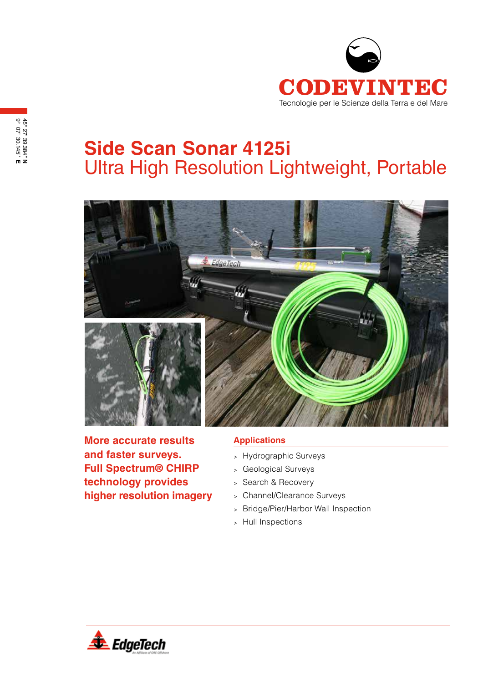

## **Side Scan Sonar 4125i** Ultra High Resolution Lightweight, Portable



**More accurate results and faster surveys. Full Spectrum® CHIRP technology provides higher resolution imagery**

## **Applications**

- <sup>&</sup>gt; Hydrographic Surveys
- <sup>&</sup>gt; Geological Surveys
- <sup>&</sup>gt; Search & Recovery
- <sup>&</sup>gt; Channel/Clearance Surveys
- <sup>&</sup>gt; Bridge/Pier/Harbor Wall Inspection
- <sup>&</sup>gt; Hull Inspections

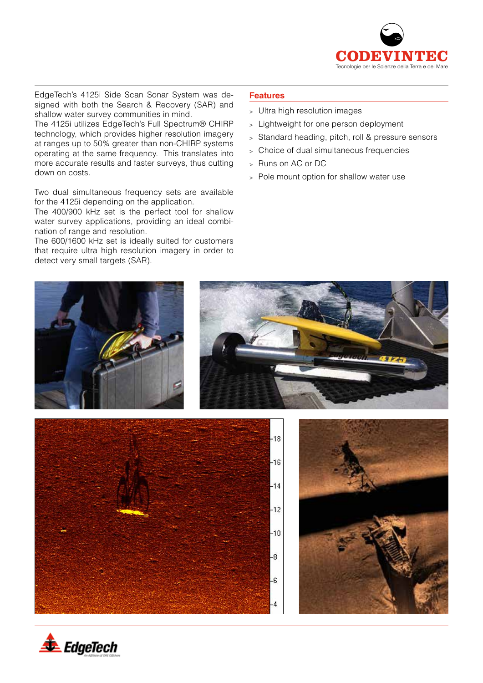

EdgeTech's 4125i Side Scan Sonar System was designed with both the Search & Recovery (SAR) and shallow water survey communities in mind.

The 4125i utilizes EdgeTech's Full Spectrum® CHIRP technology, which provides higher resolution imagery at ranges up to 50% greater than non-CHIRP systems operating at the same frequency. This translates into more accurate results and faster surveys, thus cutting down on costs.

Two dual simultaneous frequency sets are available for the 4125i depending on the application.

The 400/900 kHz set is the perfect tool for shallow water survey applications, providing an ideal combination of range and resolution.

The 600/1600 kHz set is ideally suited for customers that require ultra high resolution imagery in order to detect very small targets (SAR).

## **Features**

- <sup>&</sup>gt; Ultra high resolution images
- <sup>&</sup>gt; Lightweight for one person deployment
- <sup>&</sup>gt; Standard heading, pitch, roll & pressure sensors
- <sup>&</sup>gt; Choice of dual simultaneous frequencies
- Runs on AC or DC
- <sup>&</sup>gt; Pole mount option for shallow water use



 $-10$ 

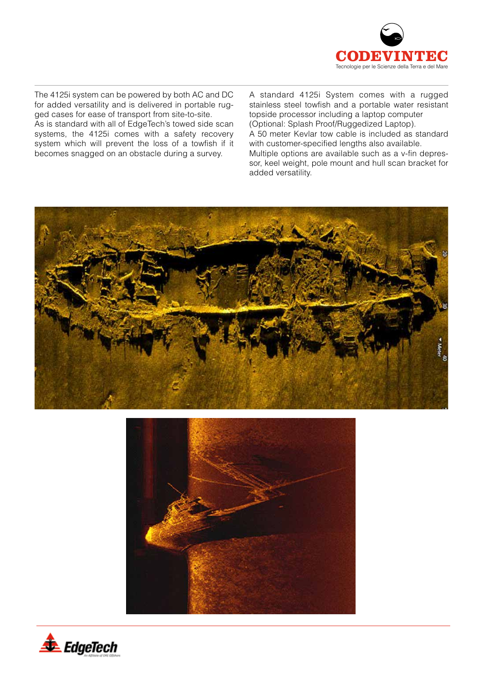

The 4125i system can be powered by both AC and DC for added versatility and is delivered in portable rugged cases for ease of transport from site-to-site. As is standard with all of EdgeTech's towed side scan systems, the 4125i comes with a safety recovery system which will prevent the loss of a towfish if it becomes snagged on an obstacle during a survey.

A standard 4125i System comes with a rugged stainless steel towfish and a portable water resistant topside processor including a laptop computer (Optional: Splash Proof/Ruggedized Laptop). A 50 meter Kevlar tow cable is included as standard with customer-specified lengths also available. Multiple options are available such as a v-fin depressor, keel weight, pole mount and hull scan bracket for added versatility.